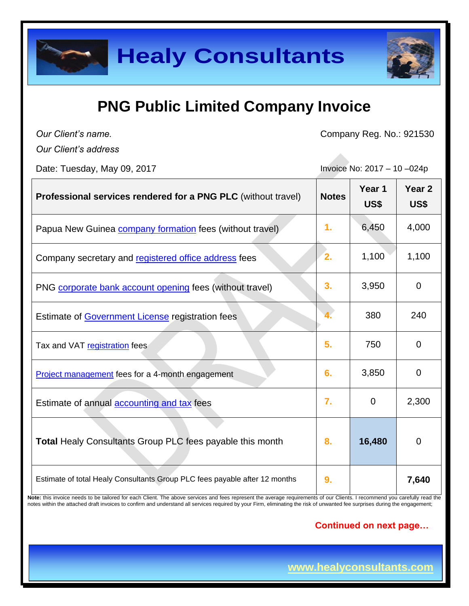

# **PNG Public Limited Company Invoice**

*Our Client's name. Our Client's address* Company Reg. No.: 921530

Date: Tuesday, May 09, 2017 **Invoice No: 2017** - 10 -024p

| Professional services rendered for a PNG PLC (without travel)                                                                                                                                                                                            | <b>Notes</b> | Year 1<br>US\$ | Year <sub>2</sub><br>US\$ |
|----------------------------------------------------------------------------------------------------------------------------------------------------------------------------------------------------------------------------------------------------------|--------------|----------------|---------------------------|
| Papua New Guinea <b>company formation</b> fees (without travel)                                                                                                                                                                                          | 1.           | 6,450          | 4,000                     |
| Company secretary and registered office address fees                                                                                                                                                                                                     | 2.           | 1,100          | 1,100                     |
| PNG corporate bank account opening fees (without travel)                                                                                                                                                                                                 | 3.           | 3,950          | $\overline{0}$            |
| Estimate of <b>Government License</b> registration fees                                                                                                                                                                                                  |              | 380            | 240                       |
| Tax and VAT registration fees                                                                                                                                                                                                                            | 5.           | 750            | $\overline{0}$            |
| Project management fees for a 4-month engagement                                                                                                                                                                                                         | 6.           | 3,850          | $\overline{0}$            |
| Estimate of annual accounting and tax fees                                                                                                                                                                                                               | 7.           | $\mathbf 0$    | 2,300                     |
| <b>Total Healy Consultants Group PLC fees payable this month</b>                                                                                                                                                                                         | 8.           | 16,480         | $\overline{0}$            |
| Estimate of total Healy Consultants Group PLC fees payable after 12 months<br>Note: this invoice needs to be tailored for each Client. The above services and fees represent the average requirements of our Clients. I recommend you carefully read the | 9.           |                | 7,640                     |

notes within the attached draft invoices to confirm and understand all services required by your Firm, eliminating the risk of unwanted fee surprises during the engagement;

### **Continued on next page…**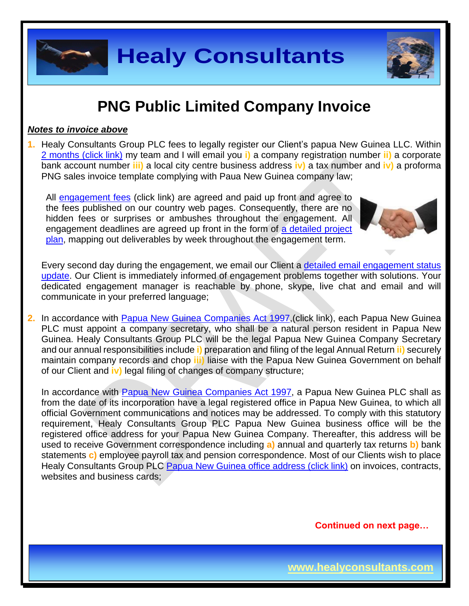

# **PNG Public Limited Company Invoice**

### *Notes to invoice above*

**1.** Healy Consultants Group PLC fees to legally register our Client's papua New Guinea LLC. Within 2 months [\(click link\)](http://www.healyconsultants.com/papua-new-guinea-company-registration/fees-timelines/) my team and I will email you **i)** a company registration number **ii)** a corporate bank account number **iii)** a local city centre business address **iv)** a tax number and **iv)** a proforma PNG sales invoice template complying with Paua New Guinea company law;

All [engagement fees](http://www.healyconsultants.com/company-registration-fees/) (click link) are agreed and paid up front and agree to the fees published on our country web pages. Consequently, there are no hidden fees or surprises or ambushes throughout the engagement. All engagement deadlines are agreed up front in the form of [a detailed project](http://www.healyconsultants.com/index-important-links/example-project-plan/)  [plan,](http://www.healyconsultants.com/index-important-links/example-project-plan/) mapping out deliverables by week throughout the engagement term.



Every second day during the engagement, we email our Client a [detailed email engagement status](http://www.healyconsultants.com/index-important-links/weekly-engagement-status-email/)  [update.](http://www.healyconsultants.com/index-important-links/weekly-engagement-status-email/) Our Client is immediately informed of engagement problems together with solutions. Your dedicated engagement manager is reachable by phone, skype, live chat and email and will communicate in your preferred language;

**2.** In accordance with Papua New Guinea [Companies Act 1997,](http://www.wipo.int/edocs/lexdocs/laws/en/pg/pg013en.pdf)(click link), each Papua New Guinea PLC must appoint a company secretary, who shall be a natural person resident in Papua New Guinea. Healy Consultants Group PLC will be the legal Papua New Guinea Company Secretary and our annual responsibilities include **i)** preparation and filing of the legal Annual Return **ii)** securely maintain company records and chop **iii)** liaise with the Papua New Guinea Government on behalf of our Client and **iv)** legal filing of changes of company structure;

In accordance with Papua New Guinea [Companies Act 1997,](http://www.wipo.int/edocs/lexdocs/laws/en/pg/pg013en.pdf) a Papua New Guinea PLC shall as from the date of its incorporation have a legal registered office in Papua New Guinea, to which all official Government communications and notices may be addressed. To comply with this statutory requirement, Healy Consultants Group PLC Papua New Guinea business office will be the registered office address for your Papua New Guinea Company. Thereafter, this address will be used to receive Government correspondence including **a)** annual and quarterly tax returns **b)** bank statements **c)** employee payroll tax and pension correspondence. Most of our Clients wish to place Healy Consultants Group PLC Papua New Guinea [office address \(click link\)](http://www.healyconsultants.com/virtual-office/) on invoices, contracts, websites and business cards;

**Continued on next page…**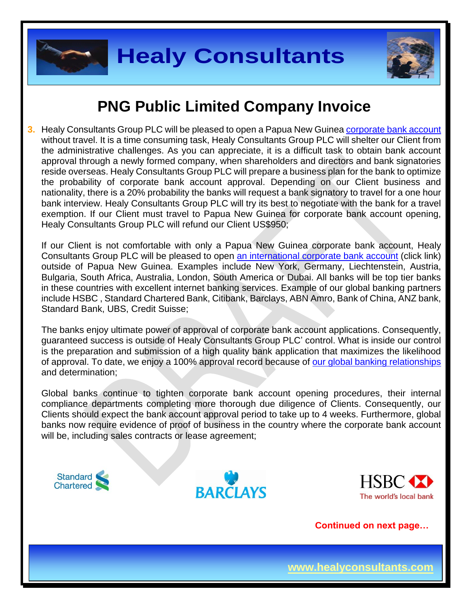



# **PNG Public Limited Company Invoice**

**3.** Healy Consultants Group PLC will be pleased to open a Papua New Guinea [corporate bank account](http://www.healyconsultants.com/papua-new-guinea-company-registration/banking/) without travel. It is a time consuming task, Healy Consultants Group PLC will shelter our Client from the administrative challenges. As you can appreciate, it is a difficult task to obtain bank account approval through a newly formed company, when shareholders and directors and bank signatories reside overseas. Healy Consultants Group PLC will prepare a business plan for the bank to optimize the probability of corporate bank account approval. Depending on our Client business and nationality, there is a 20% probability the banks will request a bank signatory to travel for a one hour bank interview. Healy Consultants Group PLC will try its best to negotiate with the bank for a travel exemption. If our Client must travel to Papua New Guinea for corporate bank account opening, Healy Consultants Group PLC will refund our Client US\$950;

If our Client is not comfortable with only a Papua New Guinea corporate bank account, Healy Consultants Group PLC will be pleased to open [an international corporate bank account](http://www.healyconsultants.com/international-banking/) (click link) outside of Papua New Guinea. Examples include New York, Germany, Liechtenstein, Austria, Bulgaria, South Africa, Australia, London, South America or Dubai. All banks will be top tier banks in these countries with excellent internet banking services. Example of our global banking partners include HSBC , Standard Chartered Bank, Citibank, Barclays, ABN Amro, Bank of China, ANZ bank, Standard Bank, UBS, Credit Suisse;

The banks enjoy ultimate power of approval of corporate bank account applications. Consequently, guaranteed success is outside of Healy Consultants Group PLC' control. What is inside our control is the preparation and submission of a high quality bank application that maximizes the likelihood of approval. To date, we enjoy a 100% approval record because of [our global banking relationships](http://www.healyconsultants.com/international-banking/corporate-accounts/) and determination;

Global banks continue to tighten corporate bank account opening procedures, their internal compliance departments completing more thorough due diligence of Clients. Consequently, our Clients should expect the bank account approval period to take up to 4 weeks. Furthermore, global banks now require evidence of proof of business in the country where the corporate bank account will be, including sales contracts or lease agreement;







**Continued on next page…**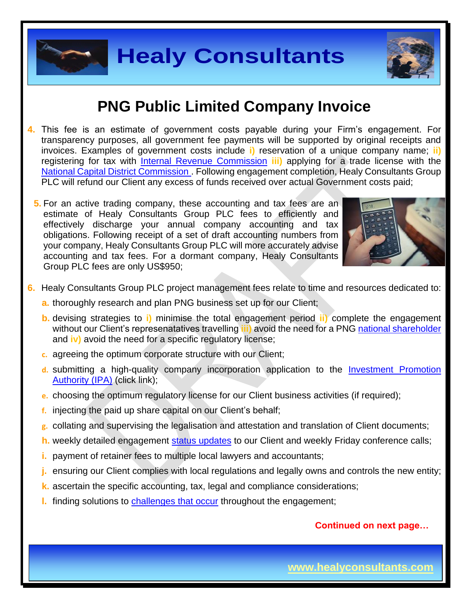### **PNG Public Limited Company Invoice**

- **4.** This fee is an estimate of government costs payable during your Firm's engagement. For transparency purposes, all government fee payments will be supported by original receipts and invoices. Examples of government costs include **i)** reservation of a unique company name; **ii)** registering for tax with [Internal Revenue Commission](http://www.irc.gov.pg/) **iii)** applying for a trade license with the [National Capital District Commission](http://www.ncdc.gov.pg/) . Following engagement completion, Healy Consultants Group PLC will refund our Client any excess of funds received over actual Government costs paid;
	- **5.** For an active trading company, these [accounting and tax](http://www.healyconsultants.com/singapore-company-registration/accounting-legal/) fees are an estimate of Healy Consultants Group PLC fees to efficiently and effectively discharge your annual company accounting and tax obligations. Following receipt of a set of draft accounting numbers from your company, Healy Consultants Group PLC will more accurately advise accounting and tax fees. For a dormant company, Healy Consultants Group PLC fees are only US\$950;



- **6.** Healy Consultants Group PLC project management fees relate to time and resources dedicated to:
	- **a.** thoroughly research and plan PNG business set up for our Client;
	- **b.** devising strategies to **i)** minimise the total engagement period **ii)** complete the engagement without our Client's represenatatives travelling **iii)** avoid the need for a PNG national [shareholder](http://www.healyconsultants.com/corporate-advisory-services/nominee-shareholders-directors/national-shareholder-services/) and **iv)** avoid the need for a specific regulatory license;
	- **c.** agreeing the optimum corporate structure with our Client;
	- **d.** submitting a high-quality company incorporation application to the [Investment Promotion](http://www.ipa.gov.pg/business-registration-regulation-and-certification/)  [Authority \(IPA\)](http://www.ipa.gov.pg/business-registration-regulation-and-certification/) (click link);
	- **e.** choosing the optimum regulatory license for our Client business activities (if required);
	- **f.** injecting the paid up share capital on our Client's behalf;
	- **g.** collating and supervising the legalisation and attestation and translation of Client documents;
	- **h.** weekly detailed engagement [status updates](http://www.healyconsultants.com/index-important-links/weekly-engagement-status-email/) to our Client and weekly Friday conference calls;
	- **i.** payment of retainer fees to multiple local lawyers and accountants;
	- **j.** ensuring our Client complies with local regulations and legally owns and controls the new entity;
	- **k.** ascertain the specific accounting, tax, legal and compliance considerations;
	- **l.** finding solutions to [challenges that occur](http://www.healyconsultants.com/engagement-project-management/) throughout the engagement;

### **Continued on next page…**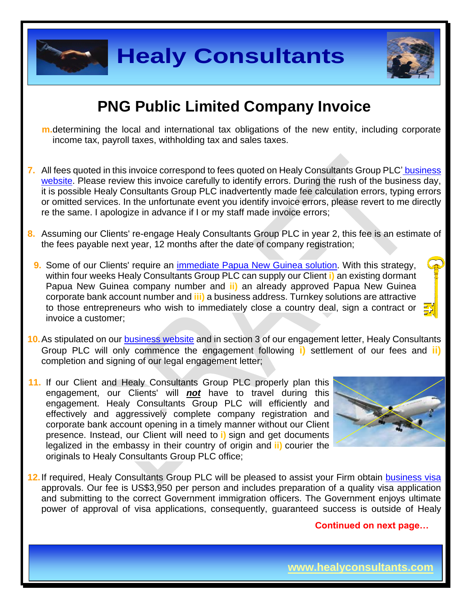

### **PNG Public Limited Company Invoice**

- **m.**determining the local and international tax obligations of the new entity, including corporate income tax, payroll taxes, withholding tax and sales taxes.
- **7.** All fees quoted in this invoice correspond to fees quoted on Healy Consultants Group PLC' [business](http://www.healyconsultants.com/company-registration-fees/)  [website.](http://www.healyconsultants.com/company-registration-fees/) Please review this invoice carefully to identify errors. During the rush of the business day, it is possible Healy Consultants Group PLC inadvertently made fee calculation errors, typing errors or omitted services. In the unfortunate event you identify invoice errors, please revert to me directly re the same. I apologize in advance if I or my staff made invoice errors;
- **8.** Assuming our Clients' re-engage Healy Consultants Group PLC in year 2, this fee is an estimate of the fees payable next year, 12 months after the date of company registration;
- **9.** Some of our Clients' require an [immediate Papua New Guinea](http://www.healyconsultants.com/turnkey-solutions/) solution. With this strategy, within four weeks Healy Consultants Group PLC can supply our Client **i)** an existing dormant Papua New Guinea company number and **ii)** an already approved Papua New Guinea corporate bank account number and **iii)** a business address. Turnkey solutions are attractive to those entrepreneurs who wish to immediately close a country deal, sign a contract or invoice a customer;
- **10.**As stipulated on our [business website](http://www.healyconsultants.com/) and in section 3 of our engagement letter, Healy Consultants Group PLC will only commence the engagement following **i)** settlement of our fees and **ii)** completion and signing of our legal engagement letter;
- **11.** If our Client and Healy Consultants Group PLC properly plan this engagement, our Clients' will *not* have to travel during this engagement. Healy Consultants Group PLC will efficiently and effectively and aggressively complete company registration and corporate bank account opening in a timely manner without our Client presence. Instead, our Client will need to **i)** sign and get documents legalized in the embassy in their country of origin and **ii)** courier the originals to Healy Consultants Group PLC office;



**12.**If required, Healy Consultants Group PLC will be pleased to assist your Firm obtain [business](http://www.healyconsultants.com/papua-new-guinea-company-registration/formation-support-services/) visa approvals. Our fee is US\$3,950 per person and includes preparation of a quality visa application and submitting to the correct Government immigration officers. The Government enjoys ultimate power of approval of visa applications, consequently, guaranteed success is outside of Healy

#### **Continued on next page…**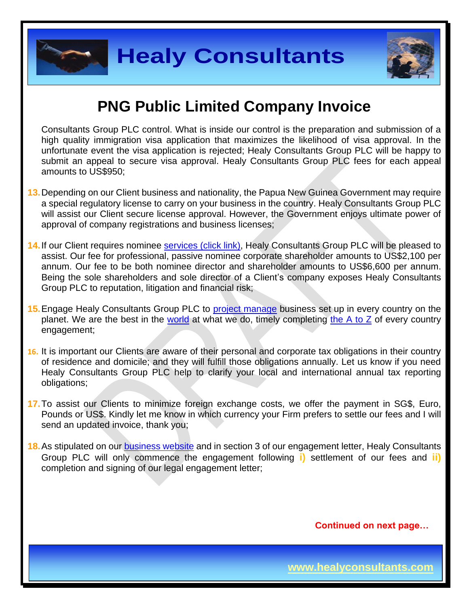



### **PNG Public Limited Company Invoice**

Consultants Group PLC control. What is inside our control is the preparation and submission of a high quality immigration visa application that maximizes the likelihood of visa approval. In the unfortunate event the visa application is rejected; Healy Consultants Group PLC will be happy to submit an appeal to secure visa approval. Healy Consultants Group PLC fees for each appeal amounts to US\$950;

- **13.**Depending on our Client business and nationality, the Papua New Guinea Government may require a special regulatory license to carry on your business in the country. Healy Consultants Group PLC will assist our Client secure license approval. However, the Government enjoys ultimate power of approval of company registrations and business licenses;
- 14. If our Client requires nominee services [\(click link\),](http://www.healyconsultants.com/corporate-outsourcing-services/nominee-shareholders-directors/) Healy Consultants Group PLC will be pleased to assist. Our fee for professional, passive nominee corporate shareholder amounts to US\$2,100 per annum. Our fee to be both nominee director and shareholder amounts to US\$6,600 per annum. Being the sole shareholders and sole director of a Client's company exposes Healy Consultants Group PLC to reputation, litigation and financial risk;
- **15.**Engage Healy Consultants Group PLC to [project manage](http://www.healyconsultants.com/project-manage-engagements/) business set up in every country on the planet. We are the best in the [world](http://www.healyconsultants.com/best-in-the-world/) at what we do, timely completing the  $A$  to  $Z$  of every country engagement;
- **16.** It is important our Clients are aware of their personal and corporate tax obligations in their country of residence and domicile; and they will fulfill those obligations annually. Let us know if you need Healy Consultants Group PLC help to clarify your local and international annual tax reporting obligations;
- **17.**To assist our Clients to minimize foreign exchange costs, we offer the payment in SG\$, Euro, Pounds or US\$. Kindly let me know in which currency your Firm prefers to settle our fees and I will send an updated invoice, thank you;
- **18.**As stipulated on our [business website](http://www.healyconsultants.com/) and in section 3 of our engagement letter, Healy Consultants Group PLC will only commence the engagement following **i)** settlement of our fees and **ii)** completion and signing of our legal engagement letter;

**Continued on next page…**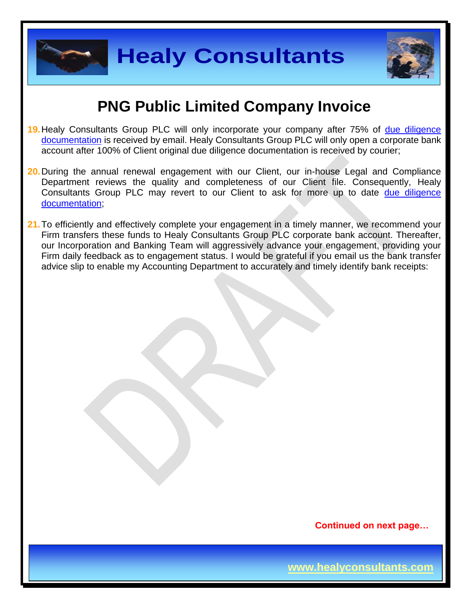



### **PNG Public Limited Company Invoice**

- 19. Healy Consultants Group PLC will only incorporate your company after 75% of due diligence [documentation](http://www.healyconsultants.com/due-diligence/) is received by email. Healy Consultants Group PLC will only open a corporate bank account after 100% of Client original due diligence documentation is received by courier;
- **20.**During the annual renewal engagement with our Client, our in-house Legal and Compliance Department reviews the quality and completeness of our Client file. Consequently, Healy Consultants Group PLC may revert to our Client to ask for more up to date [due diligence](http://www.healyconsultants.com/due-diligence/)  [documentation;](http://www.healyconsultants.com/due-diligence/)
- 21. To efficiently and effectively complete your engagement in a timely manner, we recommend your Firm transfers these funds to Healy Consultants Group PLC corporate bank account. Thereafter, our Incorporation and Banking Team will aggressively advance your engagement, providing your Firm daily feedback as to engagement status. I would be grateful if you email us the bank transfer advice slip to enable my Accounting Department to accurately and timely identify bank receipts:

**Continued on next page…**